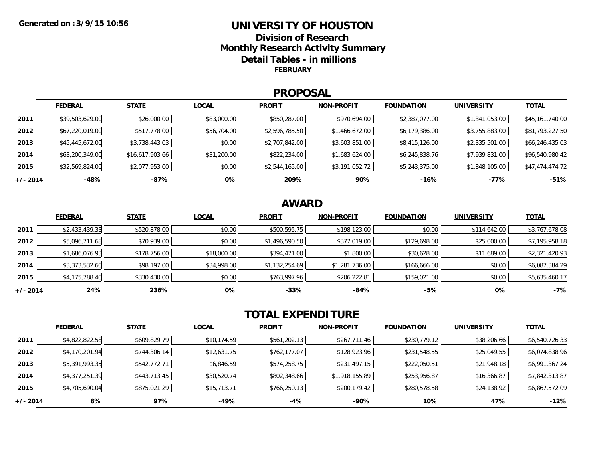### **UNIVERSITY OF HOUSTONDivision of ResearchMonthly Research Activity Summary Detail Tables - in millions FEBRUARY**

### **PROPOSAL**

|            | <b>FEDERAL</b>  | <b>STATE</b>    | <b>LOCAL</b> | <b>PROFIT</b>  | <b>NON-PROFIT</b> | <b>FOUNDATION</b> | <b>UNIVERSITY</b> | <b>TOTAL</b>    |
|------------|-----------------|-----------------|--------------|----------------|-------------------|-------------------|-------------------|-----------------|
| 2011       | \$39,503,629.00 | \$26,000.00     | \$83,000.00  | \$850,287.00   | \$970,694.00      | \$2,387,077.00    | \$1,341,053.00    | \$45,161,740.00 |
| 2012       | \$67,220,019.00 | \$517,778.00    | \$56,704.00  | \$2,596,785.50 | \$1,466,672.00    | \$6,179,386.00    | \$3,755,883.00    | \$81,793,227.50 |
| 2013       | \$45,445,672.00 | \$3,738,443.03  | \$0.00       | \$2,707,842.00 | \$3,603,851.00    | \$8,415,126.00    | \$2,335,501.00    | \$66,246,435.03 |
| 2014       | \$63,200,349.00 | \$16,617,903.66 | \$31,200.00  | \$822,234.00   | \$1,683,624.00    | \$6,245,838.76    | \$7,939,831.00    | \$96,540,980.42 |
| 2015       | \$32,569,824.00 | \$2,077,953.00  | \$0.00       | \$2,544,165.00 | \$3,191,052.72    | \$5,243,375.00    | \$1,848,105.00    | \$47,474,474.72 |
| $+/- 2014$ | $-48%$          | -87%            | 0%           | 209%           | 90%               | -16%              | -77%              | $-51%$          |

## **AWARD**

|          | <b>FEDERAL</b> | <b>STATE</b> | <b>LOCAL</b> | <b>PROFIT</b>  | <b>NON-PROFIT</b> | <b>FOUNDATION</b> | <b>UNIVERSITY</b> | <b>TOTAL</b>   |
|----------|----------------|--------------|--------------|----------------|-------------------|-------------------|-------------------|----------------|
| 2011     | \$2,433,439.33 | \$520,878.00 | \$0.00       | \$500,595.75   | \$198,123.00      | \$0.00            | \$114,642.00      | \$3,767,678.08 |
| 2012     | \$5,096,711.68 | \$70,939.00  | \$0.00       | \$1,496,590.50 | \$377,019.00      | \$129,698.00      | \$25,000.00       | \$7,195,958.18 |
| 2013     | \$1,686,076.93 | \$178,756.00 | \$18,000.00  | \$394,471.00   | \$1,800.00        | \$30,628.00       | \$11,689.00       | \$2,321,420.93 |
| 2014     | \$3,373,532.60 | \$98,197.00  | \$34,998.00  | \$1,132,254.69 | \$1,281,736.00    | \$166,666.00      | \$0.00            | \$6,087,384.29 |
| 2015     | \$4,175,788.40 | \$330,430.00 | \$0.00       | \$763,997.96   | \$206,222.81      | \$159,021.00      | \$0.00            | \$5,635,460.17 |
| +/- 2014 | 24%            | 236%         | 0%           | $-33%$         | -84%              | $-5%$             | 0%                | $-7%$          |

# **TOTAL EXPENDITURE**

|          | <b>FEDERAL</b> | <b>STATE</b> | <b>LOCAL</b> | <b>PROFIT</b> | <b>NON-PROFIT</b> | <b>FOUNDATION</b> | <b>UNIVERSITY</b> | <b>TOTAL</b>   |
|----------|----------------|--------------|--------------|---------------|-------------------|-------------------|-------------------|----------------|
| 2011     | \$4,822,822.58 | \$609,829.79 | \$10,174.59  | \$561,202.13  | \$267,711.46      | \$230,779.12      | \$38,206.66       | \$6,540,726.33 |
| 2012     | \$4,170,201.94 | \$744,306.14 | \$12,631.75  | \$762,177.07  | \$128,923.96      | \$231,548.55      | \$25,049.55       | \$6,074,838.96 |
| 2013     | \$5,391,993.35 | \$542,772.71 | \$6,846.59   | \$574,258.75  | \$231,497.15      | \$222,050.51      | \$21,948.18       | \$6,991,367.24 |
| 2014     | \$4,377,251.39 | \$443,713.45 | \$30,520.74  | \$802,348.66  | \$1,918,155.89    | \$253,956.87      | \$16,366.87       | \$7,842,313.87 |
| 2015     | \$4,705,690.04 | \$875,021.29 | \$15,713.71  | \$766,250.13  | \$200,179.42      | \$280,578.58      | \$24,138.92       | \$6,867,572.09 |
| +/- 2014 | 8%             | 97%          | -49%         | $-4%$         | $-90%$            | 10%               | 47%               | $-12%$         |